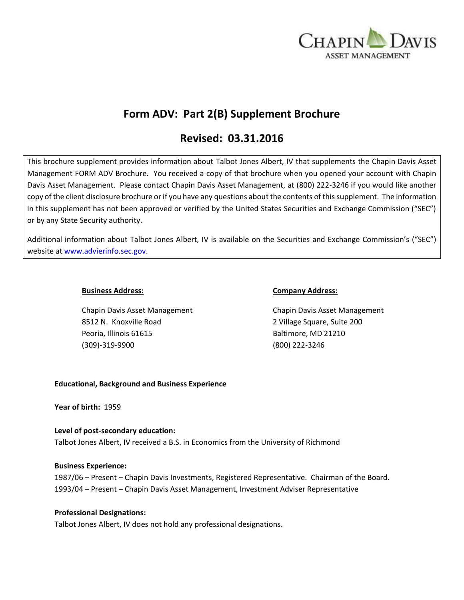

# **Form ADV: Part 2(B) Supplement Brochure**

# **Revised: 03.31.2016**

This brochure supplement provides information about Talbot Jones Albert, IV that supplements the Chapin Davis Asset Management FORM ADV Brochure. You received a copy of that brochure when you opened your account with Chapin Davis Asset Management. Please contact Chapin Davis Asset Management, at (800) 222-3246 if you would like another copy of the client disclosure brochure or if you have any questions about the contents of this supplement. The information in this supplement has not been approved or verified by the United States Securities and Exchange Commission ("SEC") or by any State Security authority.

Additional information about Talbot Jones Albert, IV is available on the Securities and Exchange Commission's ("SEC") website at [www.advierinfo.sec.gov.](http://www.advierinfo.sec.gov/)

Chapin Davis Asset Management Chapin Davis Asset Management 8512 N. Knoxville Road 2 Village Square, Suite 200 Peoria, Illinois 61615 Baltimore, MD 21210 (309)-319-9900 (800) 222-3246

#### **Business Address: Company Address:**

### **Educational, Background and Business Experience**

**Year of birth:** 1959

# **Level of post-secondary education:**  Talbot Jones Albert, IV received a B.S. in Economics from the University of Richmond

### **Business Experience:**

1987/06 – Present – Chapin Davis Investments, Registered Representative. Chairman of the Board. 1993/04 – Present – Chapin Davis Asset Management, Investment Adviser Representative

### **Professional Designations:**

Talbot Jones Albert, IV does not hold any professional designations.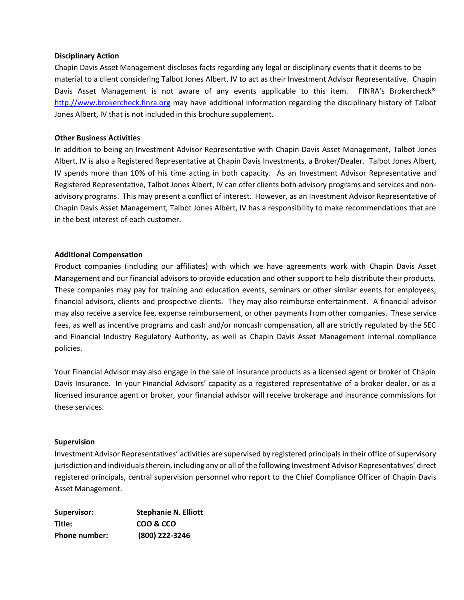#### **Disciplinary Action**

Chapin Davis Asset Management discloses facts regarding any legal or disciplinary events that it deems to be material to a client considering Talbot Jones Albert, IV to act as their Investment Advisor Representative. Chapin Davis Asset Management is not aware of any events applicable to this item. FINRA's Brokercheck<sup>®</sup> [http://www.brokercheck.finra.org](http://www.brokercheck.finra.org/) may have additional information regarding the disciplinary history of Talbot Jones Albert, IV that is not included in this brochure supplement.

#### **Other Business Activities**

In addition to being an Investment Advisor Representative with Chapin Davis Asset Management, Talbot Jones Albert, IV is also a Registered Representative at Chapin Davis Investments, a Broker/Dealer. Talbot Jones Albert, IV spends more than 10% of his time acting in both capacity. As an Investment Advisor Representative and Registered Representative, Talbot Jones Albert, IV can offer clients both advisory programs and services and nonadvisory programs. This may present a conflict of interest. However, as an Investment Advisor Representative of Chapin Davis Asset Management, Talbot Jones Albert, IV has a responsibility to make recommendations that are in the best interest of each customer.

### **Additional Compensation**

Product companies (including our affiliates) with which we have agreements work with Chapin Davis Asset Management and our financial advisors to provide education and other support to help distribute their products. These companies may pay for training and education events, seminars or other similar events for employees, financial advisors, clients and prospective clients. They may also reimburse entertainment. A financial advisor may also receive a service fee, expense reimbursement, or other payments from other companies. These service fees, as well as incentive programs and cash and/or noncash compensation, all are strictly regulated by the SEC and Financial Industry Regulatory Authority, as well as Chapin Davis Asset Management internal compliance policies.

Your Financial Advisor may also engage in the sale of insurance products as a licensed agent or broker of Chapin Davis Insurance. In your Financial Advisors' capacity as a registered representative of a broker dealer, or as a licensed insurance agent or broker, your financial advisor will receive brokerage and insurance commissions for these services.

#### **Supervision**

Investment Advisor Representatives' activities are supervised by registered principals in their office of supervisory jurisdiction and individuals therein, including any or all of the following Investment Advisor Representatives' direct registered principals, central supervision personnel who report to the Chief Compliance Officer of Chapin Davis Asset Management.

| Supervisor:   | <b>Stephanie N. Elliott</b> |
|---------------|-----------------------------|
| Title:        | COO & CCO                   |
| Phone number: | (800) 222-3246              |